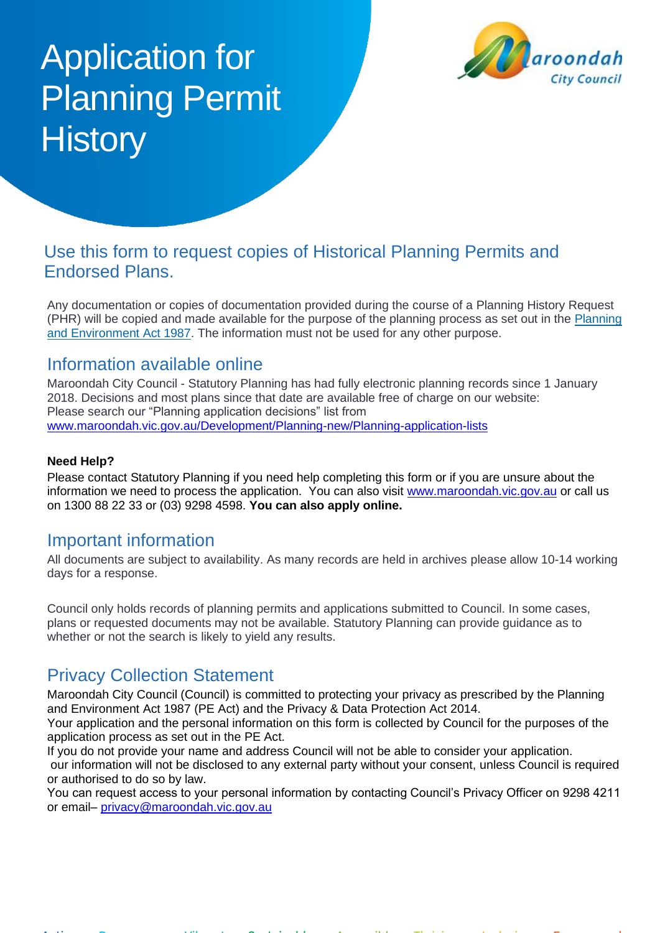# Application for Planning Permit **History**



## Use this form to request copies of Historical Planning Permits and Endorsed Plans.

Any documentation or copies of documentation provided during the course of a Planning History Request (PHR) will be copied and made available for the purpose of the planning process as set out in the Planning [and Environment Act 1987.](https://www.planning.vic.gov.au/legislation-and-regulations/planning-legislation) The information must not be used for any other purpose.

## Information available online

Maroondah City Council - Statutory Planning has had fully electronic planning records since 1 January 2018. Decisions and most plans since that date are available free of charge on our website: Please search our "Planning application decisions" list from [www.maroondah.vic.gov.au/Development/Planning-new/Planning-application-lists](http://www.maroondah.vic.gov.au/Development/Planning-new/Planning-application-lists)

#### **Need Help?**

Please contact Statutory Planning if you need help completing this form or if you are unsure about the information we need to process the application. You can also visit [www.maroondah.vic.gov.au](http://www.maroondah.vic.gov.au/) or call us on 1300 88 22 33 or (03) 9298 4598. **You can also apply online.**

## Important information

All documents are subject to availability. As many records are held in archives please allow 10-14 working days for a response.

Council only holds records of planning permits and applications submitted to Council. In some cases, plans or requested documents may not be available. Statutory Planning can provide guidance as to whether or not the search is likely to yield any results.

# Privacy Collection Statement

Maroondah City Council (Council) is committed to protecting your privacy as prescribed by the Planning and Environment Act 1987 (PE Act) and the Privacy & Data Protection Act 2014.

Your application and the personal information on this form is collected by Council for the purposes of the application process as set out in the PE Act.

If you do not provide your name and address Council will not be able to consider your application. our information will not be disclosed to any external party without your consent, unless Council is required or authorised to do so by law.

You can request access to your personal information by contacting Council's Privacy Officer on 9298 4211 or email– [privacy@maroondah.vic.gov.au](mailto:privacy@maroondah.vic.gov.au)